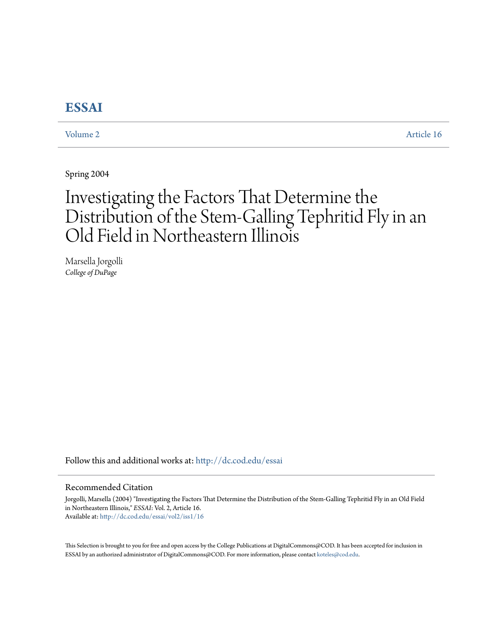# **[ESSAI](http://dc.cod.edu/essai?utm_source=dc.cod.edu%2Fessai%2Fvol2%2Fiss1%2F16&utm_medium=PDF&utm_campaign=PDFCoverPages)**

[Volume 2](http://dc.cod.edu/essai/vol2?utm_source=dc.cod.edu%2Fessai%2Fvol2%2Fiss1%2F16&utm_medium=PDF&utm_campaign=PDFCoverPages) [Article 16](http://dc.cod.edu/essai/vol2/iss1/16?utm_source=dc.cod.edu%2Fessai%2Fvol2%2Fiss1%2F16&utm_medium=PDF&utm_campaign=PDFCoverPages)

Spring 2004

# Investigating the Factors That Determine the Distribution of the Stem-Galling Tephritid Fly in an Old Field in Northeastern Illinois

Marsella Jorgolli *College of DuPage*

Follow this and additional works at: [http://dc.cod.edu/essai](http://dc.cod.edu/essai?utm_source=dc.cod.edu%2Fessai%2Fvol2%2Fiss1%2F16&utm_medium=PDF&utm_campaign=PDFCoverPages)

## Recommended Citation

Jorgolli, Marsella (2004) "Investigating the Factors That Determine the Distribution of the Stem-Galling Tephritid Fly in an Old Field in Northeastern Illinois," *ESSAI*: Vol. 2, Article 16. Available at: [http://dc.cod.edu/essai/vol2/iss1/16](http://dc.cod.edu/essai/vol2/iss1/16?utm_source=dc.cod.edu%2Fessai%2Fvol2%2Fiss1%2F16&utm_medium=PDF&utm_campaign=PDFCoverPages)

This Selection is brought to you for free and open access by the College Publications at DigitalCommons@COD. It has been accepted for inclusion in ESSAI by an authorized administrator of DigitalCommons@COD. For more information, please contact [koteles@cod.edu](mailto:koteles@cod.edu).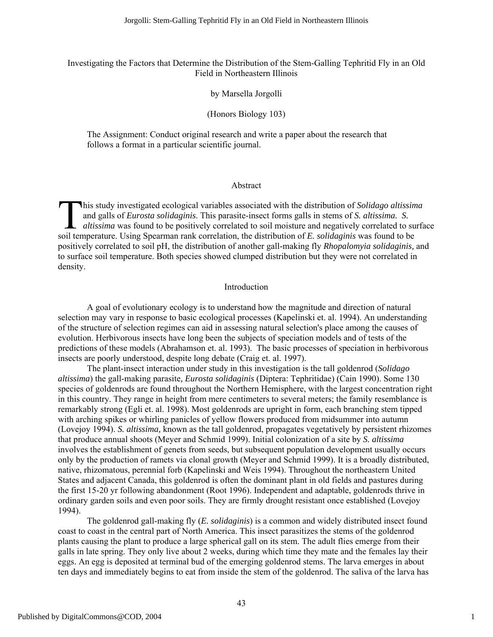# Investigating the Factors that Determine the Distribution of the Stem-Galling Tephritid Fly in an Old Field in Northeastern Illinois

# by Marsella Jorgolli

# (Honors Biology 103)

The Assignment: Conduct original research and write a paper about the research that follows a format in a particular scientific journal.

### Abstract

his study investigated ecological variables associated with the distribution of *Solidago altissima* and galls of *Eurosta solidaginis*. This parasite-insect forms galls in stems of *S. altissima. S. altissima* was found to be positively correlated to soil moisture and negatively correlated to surface his study investigated ecological variables associated with the distribution of *Solidago altissim* and galls of *Eurosta solidaginis*. This parasite-insect forms galls in stems of *S. altissima. S. altissima* was found positively correlated to soil pH, the distribution of another gall-making fly *Rhopalomyia solidaginis,* and to surface soil temperature. Both species showed clumped distribution but they were not correlated in density.

# Introduction

A goal of evolutionary ecology is to understand how the magnitude and direction of natural selection may vary in response to basic ecological processes (Kapelinski et. al. 1994). An understanding of the structure of selection regimes can aid in assessing natural selection's place among the causes of evolution. Herbivorous insects have long been the subjects of speciation models and of tests of the predictions of these models (Abrahamson et. al. 1993). The basic processes of speciation in herbivorous insects are poorly understood, despite long debate (Craig et. al. 1997).

The plant-insect interaction under study in this investigation is the tall goldenrod (*Solidago altissima*) the gall-making parasite*, Eurosta solidaginis* (Diptera: Tephritidae) (Cain 1990). Some 130 species of goldenrods are found throughout the Northern Hemisphere, with the largest concentration right in this country. They range in height from mere centimeters to several meters; the family resemblance is remarkably strong (Egli et. al. 1998). Most goldenrods are upright in form, each branching stem tipped with arching spikes or whirling panicles of yellow flowers produced from midsummer into autumn (Lovejoy 1994). *S. altissima,* known as the tall goldenrod, propagates vegetatively by persistent rhizomes that produce annual shoots (Meyer and Schmid 1999). Initial colonization of a site by *S. altissima* involves the establishment of genets from seeds, but subsequent population development usually occurs only by the production of ramets via clonal growth (Meyer and Schmid 1999). It is a broadly distributed, native, rhizomatous, perennial forb (Kapelinski and Weis 1994). Throughout the northeastern United States and adjacent Canada, this goldenrod is often the dominant plant in old fields and pastures during the first 15-20 yr following abandonment (Root 1996). Independent and adaptable, goldenrods thrive in ordinary garden soils and even poor soils. They are firmly drought resistant once established (Lovejoy 1994).

The goldenrod gall-making fly (*E. solidaginis*) is a common and widely distributed insect found coast to coast in the central part of North America. This insect parasitizes the stems of the goldenrod plants causing the plant to produce a large spherical gall on its stem. The adult flies emerge from their galls in late spring. They only live about 2 weeks, during which time they mate and the females lay their eggs. An egg is deposited at terminal bud of the emerging goldenrod stems. The larva emerges in about ten days and immediately begins to eat from inside the stem of the goldenrod. The saliva of the larva has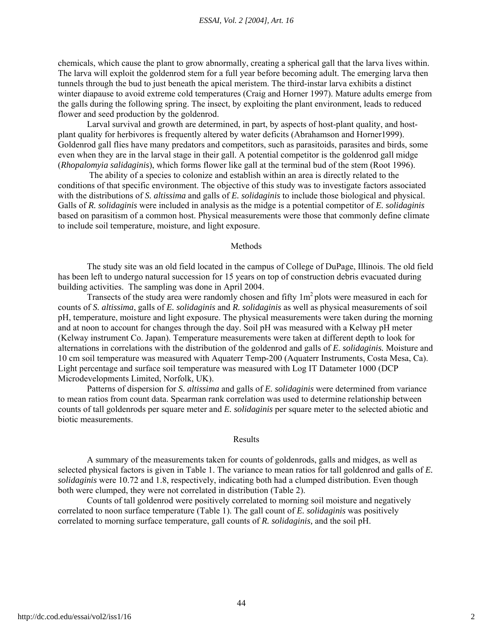chemicals, which cause the plant to grow abnormally, creating a spherical gall that the larva lives within. The larva will exploit the goldenrod stem for a full year before becoming adult. The emerging larva then tunnels through the bud to just beneath the apical meristem. The third-instar larva exhibits a distinct winter diapause to avoid extreme cold temperatures (Craig and Horner 1997). Mature adults emerge from the galls during the following spring. The insect, by exploiting the plant environment, leads to reduced flower and seed production by the goldenrod.

Larval survival and growth are determined, in part, by aspects of host-plant quality, and hostplant quality for herbivores is frequently altered by water deficits (Abrahamson and Horner1999). Goldenrod gall flies have many predators and competitors, such as parasitoids, parasites and birds, some even when they are in the larval stage in their gall. A potential competitor is the goldenrod gall midge (*Rhopalomyia salidaginis*), which forms flower like gall at the terminal bud of the stem (Root 1996).

 The ability of a species to colonize and establish within an area is directly related to the conditions of that specific environment. The objective of this study was to investigate factors associated with the distributions of *S. altissima* and galls of *E. solidaginis* to include those biological and physical. Galls of *R. solidaginis* were included in analysis as the midge is a potential competitor of *E. solidaginis*  based on parasitism of a common host. Physical measurements were those that commonly define climate to include soil temperature, moisture, and light exposure.

#### Methods

The study site was an old field located in the campus of College of DuPage, Illinois. The old field has been left to undergo natural succession for 15 years on top of construction debris evacuated during building activities. The sampling was done in April 2004.

Transects of the study area were randomly chosen and fifty  $1m<sup>2</sup>$  plots were measured in each for counts of *S. altissima*, galls of *E. solidaginis* and *R. solidaginis* as well as physical measurements of soil pH, temperature, moisture and light exposure. The physical measurements were taken during the morning and at noon to account for changes through the day. Soil pH was measured with a Kelway pH meter (Kelway instrument Co. Japan). Temperature measurements were taken at different depth to look for alternations in correlations with the distribution of the goldenrod and galls of *E. solidaginis.* Moisture and 10 cm soil temperature was measured with Aquaterr Temp-200 (Aquaterr Instruments, Costa Mesa, Ca). Light percentage and surface soil temperature was measured with Log IT Datameter 1000 (DCP Microdevelopments Limited, Norfolk, UK).

Patterns of dispersion for *S. altissima* and galls of *E. solidaginis* were determined from variance to mean ratios from count data. Spearman rank correlation was used to determine relationship between counts of tall goldenrods per square meter and *E. solidaginis* per square meter to the selected abiotic and biotic measurements.

#### Results

A summary of the measurements taken for counts of goldenrods, galls and midges, as well as selected physical factors is given in Table 1. The variance to mean ratios for tall goldenrod and galls of *E. solidaginis* were 10.72 and 1.8, respectively, indicating both had a clumped distribution. Even though both were clumped, they were not correlated in distribution (Table 2).

Counts of tall goldenrod were positively correlated to morning soil moisture and negatively correlated to noon surface temperature (Table 1). The gall count of *E. solidaginis* was positively correlated to morning surface temperature, gall counts of *R. solidaginis,* and the soil pH.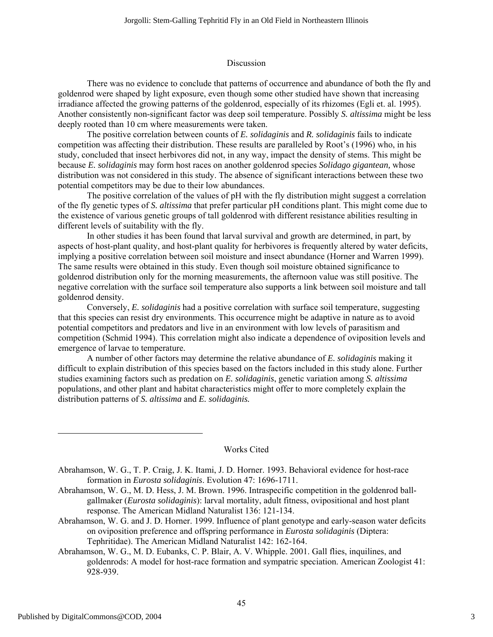### Discussion

There was no evidence to conclude that patterns of occurrence and abundance of both the fly and goldenrod were shaped by light exposure, even though some other studied have shown that increasing irradiance affected the growing patterns of the goldenrod, especially of its rhizomes (Egli et. al. 1995). Another consistently non-significant factor was deep soil temperature. Possibly *S. altissima* might be less deeply rooted than 10 cm where measurements were taken.

The positive correlation between counts of *E. solidaginis* and *R. solidaginis* fails to indicate competition was affecting their distribution. These results are paralleled by Root's (1996) who, in his study, concluded that insect herbivores did not, in any way, impact the density of stems. This might be because *E. solidaginis* may form host races on another goldenrod species *Solidago gigantean,* whose distribution was not considered in this study. The absence of significant interactions between these two potential competitors may be due to their low abundances.

The positive correlation of the values of pH with the fly distribution might suggest a correlation of the fly genetic types of *S. altissima* that prefer particular pH conditions plant. This might come due to the existence of various genetic groups of tall goldenrod with different resistance abilities resulting in different levels of suitability with the fly.

In other studies it has been found that larval survival and growth are determined, in part, by aspects of host-plant quality, and host-plant quality for herbivores is frequently altered by water deficits, implying a positive correlation between soil moisture and insect abundance (Horner and Warren 1999). The same results were obtained in this study. Even though soil moisture obtained significance to goldenrod distribution only for the morning measurements, the afternoon value was still positive. The negative correlation with the surface soil temperature also supports a link between soil moisture and tall goldenrod density.

Conversely, *E. solidaginis* had a positive correlation with surface soil temperature, suggesting that this species can resist dry environments. This occurrence might be adaptive in nature as to avoid potential competitors and predators and live in an environment with low levels of parasitism and competition (Schmid 1994). This correlation might also indicate a dependence of oviposition levels and emergence of larvae to temperature.

A number of other factors may determine the relative abundance of *E. solidaginis* making it difficult to explain distribution of this species based on the factors included in this study alone. Further studies examining factors such as predation on *E. solidaginis*, genetic variation among *S. altissima*  populations, and other plant and habitat characteristics might offer to more completely explain the distribution patterns of *S. altissima* and *E. solidaginis.* 

### Works Cited

- Abrahamson, W. G., M. D. Hess, J. M. Brown. 1996. Intraspecific competition in the goldenrod ballgallmaker (*Eurosta solidaginis*): larval mortality, adult fitness, ovipositional and host plant response. The American Midland Naturalist 136: 121-134.
- Abrahamson, W. G. and J. D. Horner. 1999. Influence of plant genotype and early-season water deficits on oviposition preference and offspring performance in *Eurosta solidaginis* (Diptera: Tephritidae). The American Midland Naturalist 142: 162-164.

Abrahamson, W. G., M. D. Eubanks, C. P. Blair, A. V. Whipple. 2001. Gall flies, inquilines, and goldenrods: A model for host-race formation and sympatric speciation. American Zoologist 41: 928-939.

Abrahamson, W. G., T. P. Craig, J. K. Itami, J. D. Horner. 1993. Behavioral evidence for host-race formation in *Eurosta solidaginis*. Evolution 47: 1696-1711.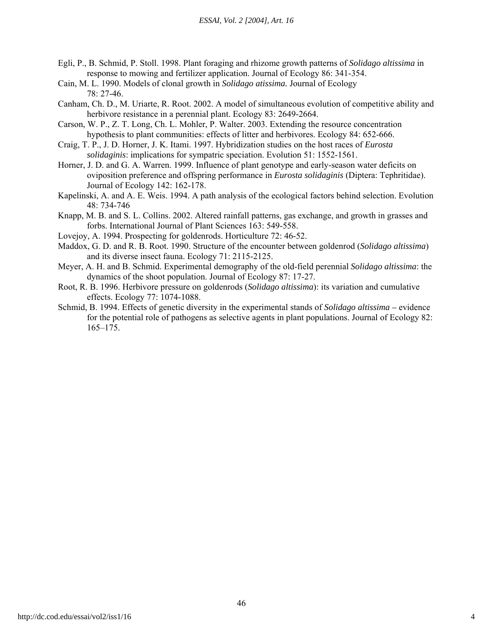#### *ESSAI, Vol. 2 [2004], Art. 16*

- Egli, P., B. Schmid, P. Stoll. 1998. Plant foraging and rhizome growth patterns of *Solidago altissima* in response to mowing and fertilizer application. Journal of Ecology 86: 341-354.
- Cain, M. L. 1990. Models of clonal growth in *Solidago atissima.* Journal of Ecology 78: 27-46.
- Canham, Ch. D., M. Uriarte, R. Root. 2002. A model of simultaneous evolution of competitive ability and herbivore resistance in a perennial plant. Ecology 83: 2649-2664.
- Carson, W. P., Z. T. Long, Ch. L. Mohler, P. Walter. 2003. Extending the resource concentration hypothesis to plant communities: effects of litter and herbivores. Ecology 84: 652-666.
- Craig, T. P., J. D. Horner, J. K. Itami. 1997. Hybridization studies on the host races of *Eurosta solidaginis*: implications for sympatric speciation. Evolution 51: 1552-1561.
- Horner, J. D. and G. A. Warren. 1999. Influence of plant genotype and early-season water deficits on oviposition preference and offspring performance in *Eurosta solidaginis* (Diptera: Tephritidae). Journal of Ecology 142: 162-178.
- Kapelinski, A. and A. E. Weis. 1994. A path analysis of the ecological factors behind selection. Evolution 48: 734-746
- Knapp, M. B. and S. L. Collins. 2002. Altered rainfall patterns, gas exchange, and growth in grasses and forbs. International Journal of Plant Sciences 163: 549-558.
- Lovejoy, A. 1994. Prospecting for goldenrods. Horticulture 72: 46-52.
- Maddox, G. D. and R. B. Root. 1990. Structure of the encounter between goldenrod (*Solidago altissima*) and its diverse insect fauna. Ecology 71: 2115-2125.
- Meyer, A. H. and B. Schmid. Experimental demography of the old-field perennial *Solidago altissima*: the dynamics of the shoot population. Journal of Ecology 87: 17-27.
- Root, R. B. 1996. Herbivore pressure on goldenrods (*Solidago altissima*): its variation and cumulative effects. Ecology 77: 1074-1088.
- Schmid, B. 1994. Effects of genetic diversity in the experimental stands of *Solidago altissima –* evidence for the potential role of pathogens as selective agents in plant populations. Journal of Ecology 82: 165–175.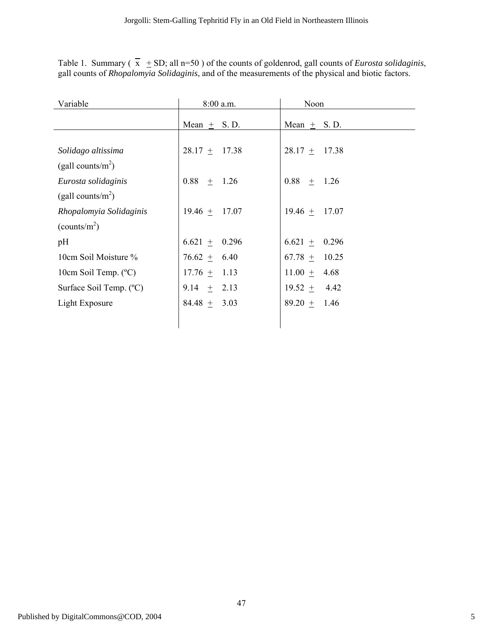Table 1. Summary  $(x + SD;$  all n=50) of the counts of goldenrod, gall counts of *Eurosta solidaginis*, gall counts of *Rhopalomyia Solidaginis*, and of the measurements of the physical and biotic factors.

| Variable                 | 8:00 a.m.         | Noon              |  |
|--------------------------|-------------------|-------------------|--|
|                          | Mean $+$ S.D.     | Mean $+$ S.D.     |  |
|                          |                   |                   |  |
| Solidago altissima       | $28.17 \pm 17.38$ | $28.17 \pm 17.38$ |  |
| (gall counts/ $m^2$ )    |                   |                   |  |
| Eurosta solidaginis      | $0.88 \pm 1.26$   | $0.88 + 1.26$     |  |
| (gall counts/ $m^2$ )    |                   |                   |  |
| Rhopalomyia Solidaginis  | $19.46 + 17.07$   | $19.46 \pm 17.07$ |  |
| (counts/m <sup>2</sup> ) |                   |                   |  |
| pH                       | $6.621 \pm 0.296$ | $6.621 \pm 0.296$ |  |
| 10cm Soil Moisture %     | $76.62 \pm 6.40$  | $67.78 \pm 10.25$ |  |
| 10cm Soil Temp. (°C)     | $17.76 \pm 1.13$  | $11.00 \pm 4.68$  |  |
| Surface Soil Temp. (°C)  | 9.14 $\pm$ 2.13   | $19.52 \pm 4.42$  |  |
| Light Exposure           | 84.48 $+$<br>3.03 | $89.20 +$<br>1.46 |  |
|                          |                   |                   |  |
|                          |                   |                   |  |